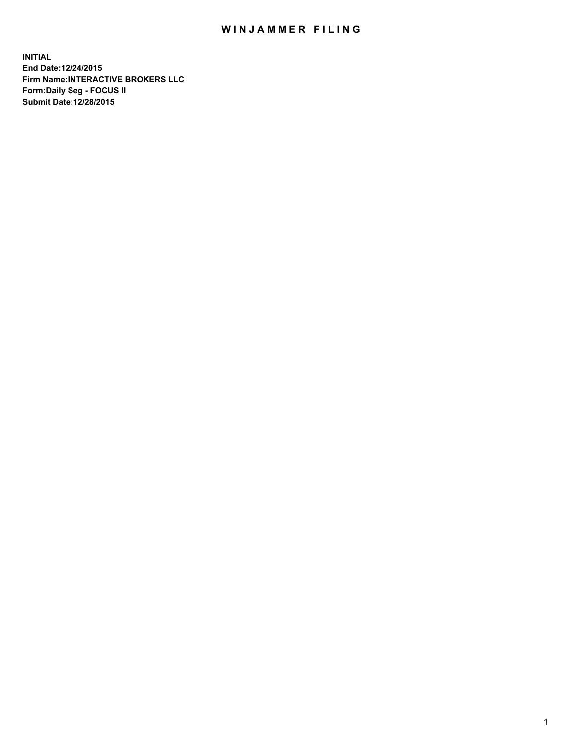## WIN JAMMER FILING

**INITIAL End Date:12/24/2015 Firm Name:INTERACTIVE BROKERS LLC Form:Daily Seg - FOCUS II Submit Date:12/28/2015**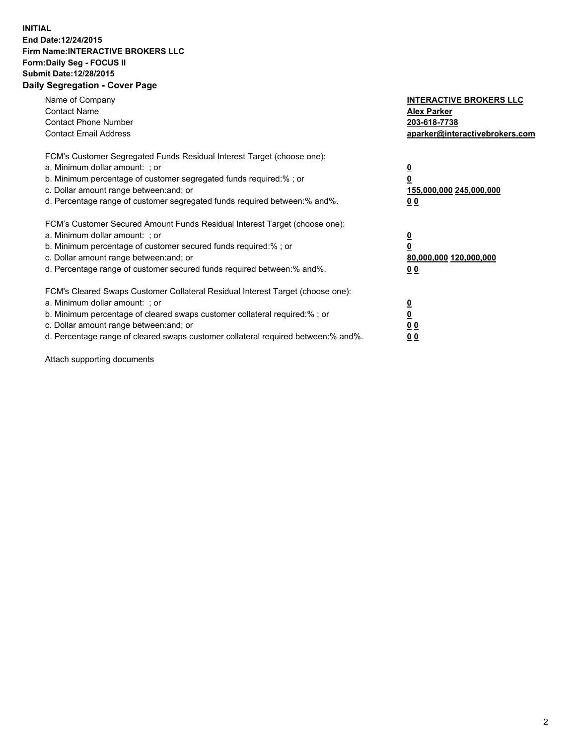## **INITIAL End Date:12/24/2015 Firm Name:INTERACTIVE BROKERS LLC Form:Daily Seg - FOCUS II Submit Date:12/28/2015 Daily Segregation - Cover Page**

| Name of Company<br><b>Contact Name</b><br><b>Contact Phone Number</b><br><b>Contact Email Address</b>                                                                                                                                                                                                                         | <b>INTERACTIVE BROKERS LLC</b><br><b>Alex Parker</b><br>203-618-7738<br>aparker@interactivebrokers.com |
|-------------------------------------------------------------------------------------------------------------------------------------------------------------------------------------------------------------------------------------------------------------------------------------------------------------------------------|--------------------------------------------------------------------------------------------------------|
| FCM's Customer Segregated Funds Residual Interest Target (choose one):<br>a. Minimum dollar amount: ; or<br>b. Minimum percentage of customer segregated funds required:% ; or<br>c. Dollar amount range between: and; or<br>d. Percentage range of customer segregated funds required between:% and%.                        | <u>0</u><br><u>155,000,000 245,000,000</u><br>00                                                       |
| FCM's Customer Secured Amount Funds Residual Interest Target (choose one):<br>a. Minimum dollar amount: ; or<br>b. Minimum percentage of customer secured funds required:% ; or<br>c. Dollar amount range between: and; or<br>d. Percentage range of customer secured funds required between: % and %.                        | $\overline{\mathbf{0}}$<br>80,000,000 120,000,000<br>00                                                |
| FCM's Cleared Swaps Customer Collateral Residual Interest Target (choose one):<br>a. Minimum dollar amount: ; or<br>b. Minimum percentage of cleared swaps customer collateral required:%; or<br>c. Dollar amount range between: and; or<br>d. Percentage range of cleared swaps customer collateral required between:% and%. | <u>0</u><br>0 <sub>0</sub><br><u>00</u>                                                                |

Attach supporting documents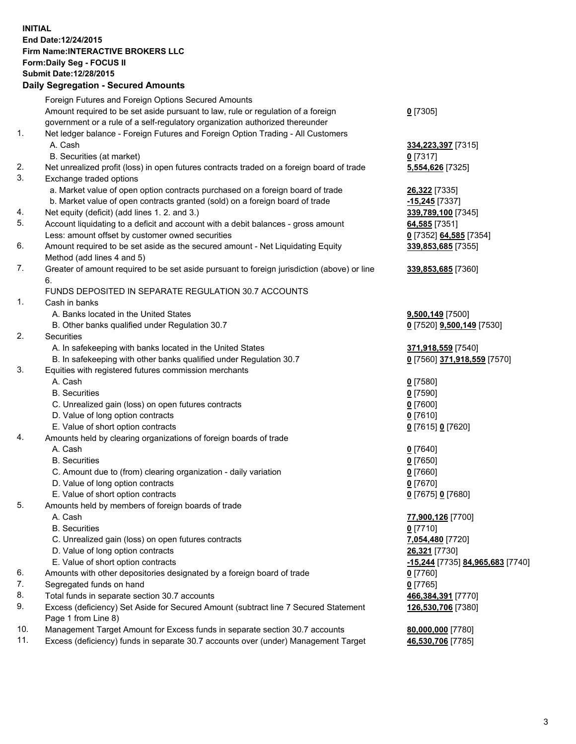## **INITIAL End Date:12/24/2015 Firm Name:INTERACTIVE BROKERS LLC Form:Daily Seg - FOCUS II Submit Date:12/28/2015 Daily Segregation - Secured Amounts**

|     | Daily Ocglegation - Occuled Amounts                                                                        |                                  |
|-----|------------------------------------------------------------------------------------------------------------|----------------------------------|
|     | Foreign Futures and Foreign Options Secured Amounts                                                        |                                  |
|     | Amount required to be set aside pursuant to law, rule or regulation of a foreign                           | $0$ [7305]                       |
|     | government or a rule of a self-regulatory organization authorized thereunder                               |                                  |
| 1.  | Net ledger balance - Foreign Futures and Foreign Option Trading - All Customers                            |                                  |
|     | A. Cash                                                                                                    | 334,223,397 [7315]               |
|     | B. Securities (at market)                                                                                  | $0$ [7317]                       |
| 2.  | Net unrealized profit (loss) in open futures contracts traded on a foreign board of trade                  | 5,554,626 [7325]                 |
| 3.  | Exchange traded options                                                                                    |                                  |
|     | a. Market value of open option contracts purchased on a foreign board of trade                             | 26,322 [7335]                    |
|     | b. Market value of open contracts granted (sold) on a foreign board of trade                               | $-15,245$ [7337]                 |
| 4.  | Net equity (deficit) (add lines 1.2. and 3.)                                                               | 339,789,100 [7345]               |
| 5.  | Account liquidating to a deficit and account with a debit balances - gross amount                          | 64,585 [7351]                    |
|     | Less: amount offset by customer owned securities                                                           | 0 [7352] 64,585 [7354]           |
| 6.  | Amount required to be set aside as the secured amount - Net Liquidating Equity                             | 339,853,685 [7355]               |
|     | Method (add lines 4 and 5)                                                                                 |                                  |
| 7.  | Greater of amount required to be set aside pursuant to foreign jurisdiction (above) or line                | 339,853,685 [7360]               |
|     | 6.                                                                                                         |                                  |
|     | FUNDS DEPOSITED IN SEPARATE REGULATION 30.7 ACCOUNTS                                                       |                                  |
| 1.  | Cash in banks                                                                                              |                                  |
|     | A. Banks located in the United States                                                                      | 9,500,149 [7500]                 |
|     | B. Other banks qualified under Regulation 30.7                                                             | 0 [7520] 9,500,149 [7530]        |
| 2.  | Securities                                                                                                 |                                  |
|     | A. In safekeeping with banks located in the United States                                                  | 371,918,559 [7540]               |
|     | B. In safekeeping with other banks qualified under Regulation 30.7                                         | 0 [7560] 371,918,559 [7570]      |
| 3.  | Equities with registered futures commission merchants                                                      |                                  |
|     | A. Cash                                                                                                    | $0$ [7580]                       |
|     | <b>B.</b> Securities                                                                                       | $0$ [7590]                       |
|     | C. Unrealized gain (loss) on open futures contracts                                                        | $0$ [7600]                       |
|     | D. Value of long option contracts                                                                          | $0$ [7610]                       |
|     | E. Value of short option contracts                                                                         | 0 [7615] 0 [7620]                |
| 4.  | Amounts held by clearing organizations of foreign boards of trade                                          |                                  |
|     | A. Cash                                                                                                    | $0$ [7640]                       |
|     | <b>B.</b> Securities                                                                                       | $0$ [7650]                       |
|     | C. Amount due to (from) clearing organization - daily variation                                            | $0$ [7660]                       |
|     | D. Value of long option contracts                                                                          | $0$ [7670]                       |
|     | E. Value of short option contracts                                                                         | 0 [7675] 0 [7680]                |
| 5.  | Amounts held by members of foreign boards of trade                                                         |                                  |
|     | A. Cash                                                                                                    | 77,900,126 [7700]                |
|     | <b>B.</b> Securities                                                                                       | $0$ [7710]                       |
|     | C. Unrealized gain (loss) on open futures contracts                                                        | 7,054,480 [7720]                 |
|     | D. Value of long option contracts                                                                          | 26,321 [7730]                    |
|     | E. Value of short option contracts                                                                         | -15,244 [7735] 84,965,683 [7740] |
| 6.  | Amounts with other depositories designated by a foreign board of trade                                     | 0 [7760]                         |
| 7.  | Segregated funds on hand                                                                                   | $0$ [7765]                       |
| 8.  | Total funds in separate section 30.7 accounts                                                              | 466,384,391 [7770]               |
| 9.  | Excess (deficiency) Set Aside for Secured Amount (subtract line 7 Secured Statement<br>Page 1 from Line 8) | 126,530,706 [7380]               |
| 10. | Management Target Amount for Excess funds in separate section 30.7 accounts                                | 80,000,000 [7780]                |
| 11. | Excess (deficiency) funds in separate 30.7 accounts over (under) Management Target                         | 46,530,706 [7785]                |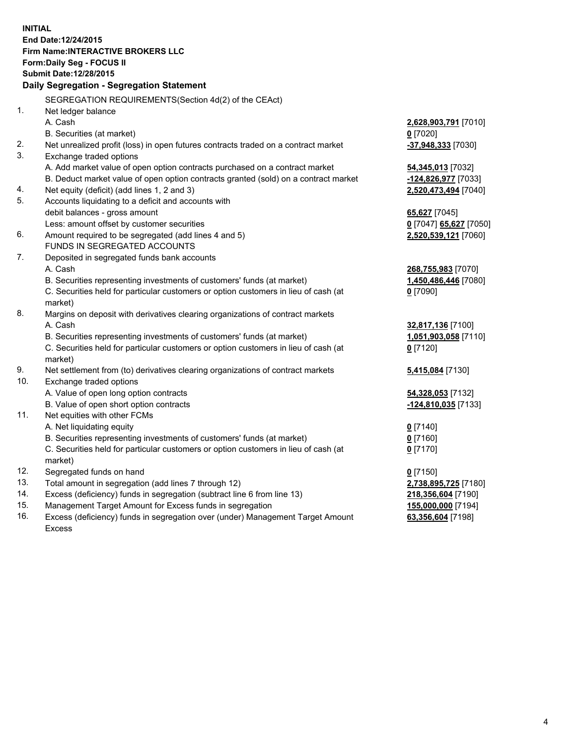**INITIAL End Date:12/24/2015 Firm Name:INTERACTIVE BROKERS LLC Form:Daily Seg - FOCUS II Submit Date:12/28/2015 Daily Segregation - Segregation Statement** SEGREGATION REQUIREMENTS(Section 4d(2) of the CEAct) 1. Net ledger balance A. Cash **2,628,903,791** [7010] B. Securities (at market) **0** [7020] 2. Net unrealized profit (loss) in open futures contracts traded on a contract market **-37,948,333** [7030] 3. Exchange traded options A. Add market value of open option contracts purchased on a contract market **54,345,013** [7032] B. Deduct market value of open option contracts granted (sold) on a contract market **-124,826,977** [7033] 4. Net equity (deficit) (add lines 1, 2 and 3) **2,520,473,494** [7040] 5. Accounts liquidating to a deficit and accounts with debit balances - gross amount **65,627** [7045] Less: amount offset by customer securities **0** [7047] **65,627** [7050] 6. Amount required to be segregated (add lines 4 and 5) **2,520,539,121** [7060] FUNDS IN SEGREGATED ACCOUNTS 7. Deposited in segregated funds bank accounts A. Cash **268,755,983** [7070] B. Securities representing investments of customers' funds (at market) **1,450,486,446** [7080] C. Securities held for particular customers or option customers in lieu of cash (at market) **0** [7090] 8. Margins on deposit with derivatives clearing organizations of contract markets A. Cash **32,817,136** [7100] B. Securities representing investments of customers' funds (at market) **1,051,903,058** [7110] C. Securities held for particular customers or option customers in lieu of cash (at market) **0** [7120] 9. Net settlement from (to) derivatives clearing organizations of contract markets **5,415,084** [7130] 10. Exchange traded options A. Value of open long option contracts **54,328,053** [7132] B. Value of open short option contracts **-124,810,035** [7133] 11. Net equities with other FCMs A. Net liquidating equity **0** [7140] B. Securities representing investments of customers' funds (at market) **0** [7160] C. Securities held for particular customers or option customers in lieu of cash (at market) **0** [7170] 12. Segregated funds on hand **0** [7150] 13. Total amount in segregation (add lines 7 through 12) **2,738,895,725** [7180] 14. Excess (deficiency) funds in segregation (subtract line 6 from line 13) **218,356,604** [7190] 15. Management Target Amount for Excess funds in segregation **155,000,000** [7194]

16. Excess (deficiency) funds in segregation over (under) Management Target Amount Excess

**63,356,604** [7198]